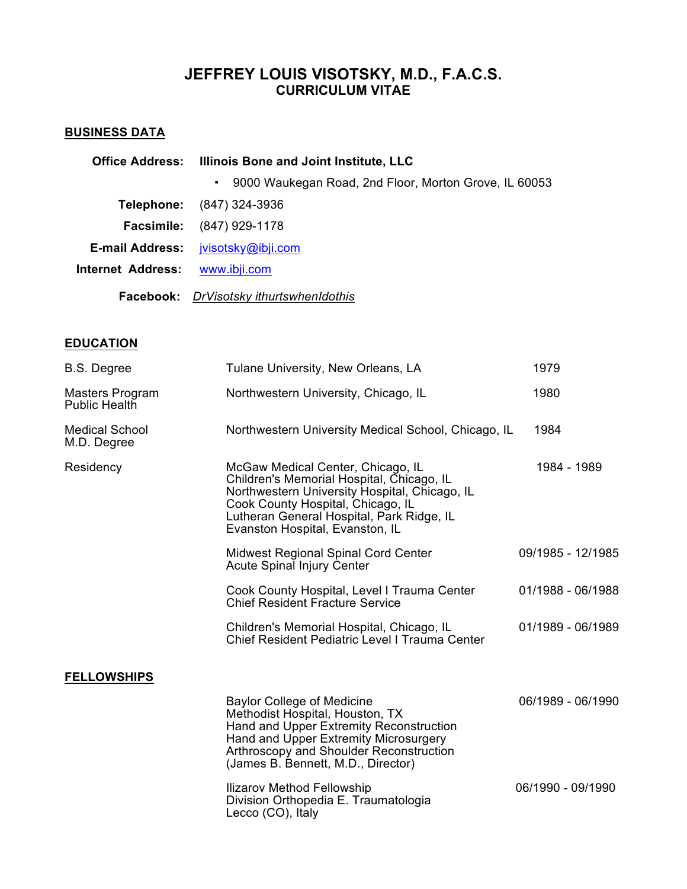# **JEFFREY LOUIS VISOTSKY, M.D., F.A.C.S. CURRICULUM VITAE**

## **BUSINESS DATA**

|                                | Office Address: Illinois Bone and Joint Institute, LLC                  |  |
|--------------------------------|-------------------------------------------------------------------------|--|
|                                | 9000 Waukegan Road, 2nd Floor, Morton Grove, IL 60053<br>$\blacksquare$ |  |
|                                | <b>Telephone:</b> (847) 324-3936                                        |  |
|                                | <b>Facsimile:</b> (847) 929-1178                                        |  |
|                                | E-mail Address: jvisotsky@ibji.com                                      |  |
| Internet Address: www.ibji.com |                                                                         |  |
|                                | Facebook: DrVisotsky ithurtswhenIdothis                                 |  |

# **EDUCATION**

| <b>B.S. Degree</b>                   | Tulane University, New Orleans, LA                                                                                                                                                                                                                   | 1979              |
|--------------------------------------|------------------------------------------------------------------------------------------------------------------------------------------------------------------------------------------------------------------------------------------------------|-------------------|
| Masters Program<br>Public Health     | Northwestern University, Chicago, IL                                                                                                                                                                                                                 | 1980              |
| <b>Medical School</b><br>M.D. Degree | Northwestern University Medical School, Chicago, IL                                                                                                                                                                                                  | 1984              |
| Residency                            | McGaw Medical Center, Chicago, IL<br>Children's Memorial Hospital, Chicago, IL<br>Northwestern University Hospital, Chicago, IL<br>Cook County Hospital, Chicago, IL<br>Lutheran General Hospital, Park Ridge, IL<br>Evanston Hospital, Evanston, IL | 1984 - 1989       |
|                                      | Midwest Regional Spinal Cord Center<br><b>Acute Spinal Injury Center</b>                                                                                                                                                                             | 09/1985 - 12/1985 |
|                                      | Cook County Hospital, Level I Trauma Center<br><b>Chief Resident Fracture Service</b>                                                                                                                                                                | 01/1988 - 06/1988 |
|                                      | Children's Memorial Hospital, Chicago, IL<br>Chief Resident Pediatric Level I Trauma Center                                                                                                                                                          | 01/1989 - 06/1989 |
| <b>FELLOWSHIPS</b>                   |                                                                                                                                                                                                                                                      |                   |
|                                      | <b>Baylor College of Medicine</b><br>Methodist Hospital, Houston, TX<br>Hand and Upper Extremity Reconstruction<br>Hand and Upper Extremity Microsurgery<br>Arthroscopy and Shoulder Reconstruction<br>(James B. Bennett, M.D., Director)            | 06/1989 - 06/1990 |
|                                      | Ilizarov Method Fellowship<br>Division Orthopedia E. Traumatologia<br>Lecco (CO), Italy                                                                                                                                                              | 06/1990 - 09/1990 |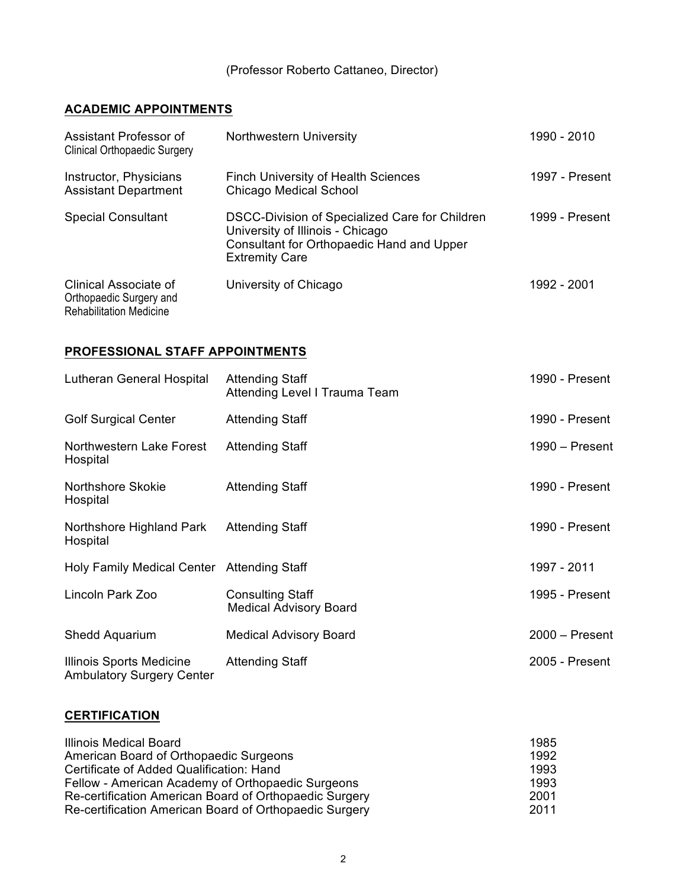## (Professor Roberto Cattaneo, Director)

# **ACADEMIC APPOINTMENTS**

| Assistant Professor of<br><b>Clinical Orthopaedic Surgery</b>                      | Northwestern University                                                                                                                                  | 1990 - 2010    |
|------------------------------------------------------------------------------------|----------------------------------------------------------------------------------------------------------------------------------------------------------|----------------|
| Instructor, Physicians<br><b>Assistant Department</b>                              | <b>Finch University of Health Sciences</b><br><b>Chicago Medical School</b>                                                                              | 1997 - Present |
| <b>Special Consultant</b>                                                          | DSCC-Division of Specialized Care for Children<br>University of Illinois - Chicago<br>Consultant for Orthopaedic Hand and Upper<br><b>Extremity Care</b> | 1999 - Present |
| Clinical Associate of<br>Orthopaedic Surgery and<br><b>Rehabilitation Medicine</b> | University of Chicago                                                                                                                                    | 1992 - 2001    |

## **PROFESSIONAL STAFF APPOINTMENTS**

| Lutheran General Hospital                                    | <b>Attending Staff</b><br>Attending Level I Trauma Team  | 1990 - Present   |
|--------------------------------------------------------------|----------------------------------------------------------|------------------|
| <b>Golf Surgical Center</b>                                  | <b>Attending Staff</b>                                   | 1990 - Present   |
| Northwestern Lake Forest<br>Hospital                         | <b>Attending Staff</b>                                   | $1990 -$ Present |
| Northshore Skokie<br>Hospital                                | <b>Attending Staff</b>                                   | 1990 - Present   |
| Northshore Highland Park<br>Hospital                         | <b>Attending Staff</b>                                   | 1990 - Present   |
| Holy Family Medical Center Attending Staff                   |                                                          | 1997 - 2011      |
| Lincoln Park Zoo                                             | <b>Consulting Staff</b><br><b>Medical Advisory Board</b> | 1995 - Present   |
| Shedd Aquarium                                               | <b>Medical Advisory Board</b>                            | $2000 -$ Present |
| Illinois Sports Medicine<br><b>Ambulatory Surgery Center</b> | <b>Attending Staff</b>                                   | 2005 - Present   |

## **CERTIFICATION**

| <b>Illinois Medical Board</b>                          | 1985 |
|--------------------------------------------------------|------|
| American Board of Orthopaedic Surgeons                 | 1992 |
| Certificate of Added Qualification: Hand               | 1993 |
| Fellow - American Academy of Orthopaedic Surgeons      | 1993 |
| Re-certification American Board of Orthopaedic Surgery | 2001 |
| Re-certification American Board of Orthopaedic Surgery | 2011 |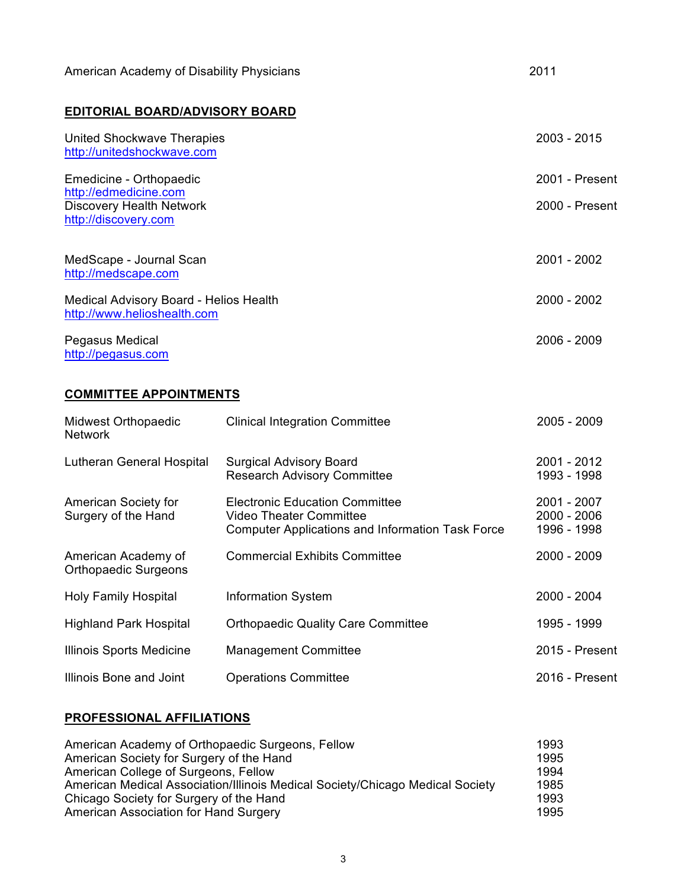| American Academy of Disability Physicians                                        | 2011           |
|----------------------------------------------------------------------------------|----------------|
| <b>EDITORIAL BOARD/ADVISORY BOARD</b>                                            |                |
| United Shockwave Therapies<br>http://unitedshockwave.com                         | $2003 - 2015$  |
| Emedicine - Orthopaedic                                                          | 2001 - Present |
| http://edmedicine.com<br><b>Discovery Health Network</b><br>http://discovery.com | 2000 - Present |
| MedScape - Journal Scan<br>http://medscape.com                                   | 2001 - 2002    |
| Medical Advisory Board - Helios Health<br>http://www.helioshealth.com            | 2000 - 2002    |
| Pegasus Medical<br>http://pegasus.com                                            | 2006 - 2009    |

# **COMMITTEE APPOINTMENTS**

| Midwest Orthopaedic<br><b>Network</b>              | <b>Clinical Integration Committee</b>                                                                                       | 2005 - 2009                               |
|----------------------------------------------------|-----------------------------------------------------------------------------------------------------------------------------|-------------------------------------------|
| Lutheran General Hospital                          | <b>Surgical Advisory Board</b><br><b>Research Advisory Committee</b>                                                        | 2001 - 2012<br>1993 - 1998                |
| American Society for<br>Surgery of the Hand        | <b>Electronic Education Committee</b><br>Video Theater Committee<br><b>Computer Applications and Information Task Force</b> | 2001 - 2007<br>2000 - 2006<br>1996 - 1998 |
| American Academy of<br><b>Orthopaedic Surgeons</b> | <b>Commercial Exhibits Committee</b>                                                                                        | 2000 - 2009                               |
| <b>Holy Family Hospital</b>                        | <b>Information System</b>                                                                                                   | 2000 - 2004                               |
| <b>Highland Park Hospital</b>                      | <b>Orthopaedic Quality Care Committee</b>                                                                                   | 1995 - 1999                               |
| Illinois Sports Medicine                           | <b>Management Committee</b>                                                                                                 | 2015 - Present                            |
| Illinois Bone and Joint                            | <b>Operations Committee</b>                                                                                                 | 2016 - Present                            |

## **PROFESSIONAL AFFILIATIONS**

| American Academy of Orthopaedic Surgeons, Fellow                              | 1993 |
|-------------------------------------------------------------------------------|------|
| American Society for Surgery of the Hand                                      | 1995 |
| American College of Surgeons, Fellow                                          | 1994 |
| American Medical Association/Illinois Medical Society/Chicago Medical Society | 1985 |
| Chicago Society for Surgery of the Hand                                       | 1993 |
| American Association for Hand Surgery                                         | 1995 |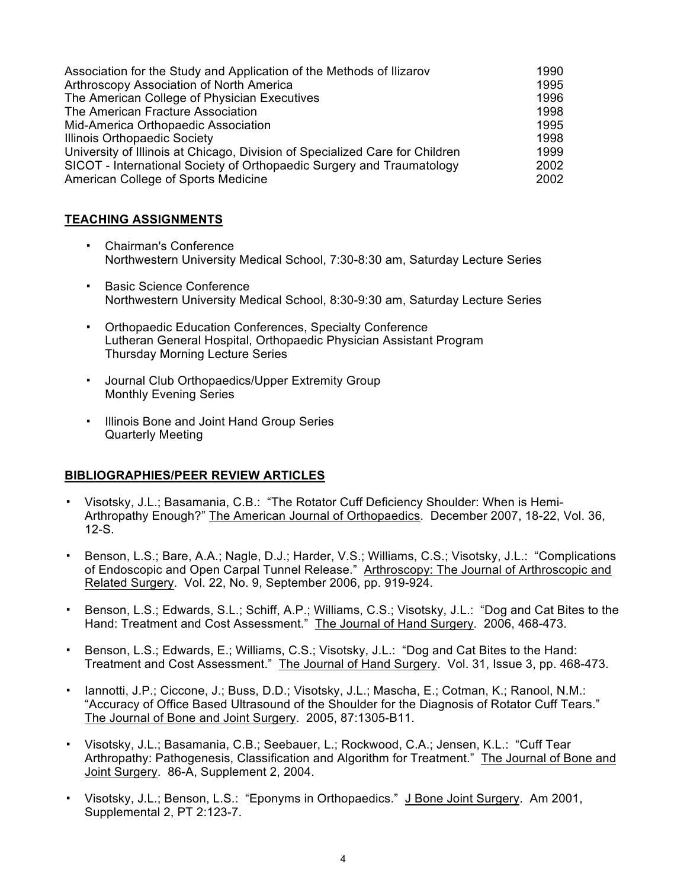| Association for the Study and Application of the Methods of Ilizarov         | 1990 |
|------------------------------------------------------------------------------|------|
| Arthroscopy Association of North America                                     | 1995 |
| The American College of Physician Executives                                 | 1996 |
| The American Fracture Association                                            | 1998 |
| Mid-America Orthopaedic Association                                          | 1995 |
| Illinois Orthopaedic Society                                                 | 1998 |
| University of Illinois at Chicago, Division of Specialized Care for Children | 1999 |
| SICOT - International Society of Orthopaedic Surgery and Traumatology        | 2002 |
| American College of Sports Medicine                                          | 2002 |

## **TEACHING ASSIGNMENTS**

- Chairman's Conference Northwestern University Medical School, 7:30-8:30 am, Saturday Lecture Series
- Basic Science Conference Northwestern University Medical School, 8:30-9:30 am, Saturday Lecture Series
- Orthopaedic Education Conferences, Specialty Conference Lutheran General Hospital, Orthopaedic Physician Assistant Program Thursday Morning Lecture Series
- Journal Club Orthopaedics/Upper Extremity Group Monthly Evening Series
- Illinois Bone and Joint Hand Group Series Quarterly Meeting

## **BIBLIOGRAPHIES/PEER REVIEW ARTICLES**

- Visotsky, J.L.; Basamania, C.B.: "The Rotator Cuff Deficiency Shoulder: When is Hemi-Arthropathy Enough?" The American Journal of Orthopaedics. December 2007, 18-22, Vol. 36, 12-S.
- Benson, L.S.; Bare, A.A.; Nagle, D.J.; Harder, V.S.; Williams, C.S.; Visotsky, J.L.: "Complications of Endoscopic and Open Carpal Tunnel Release." Arthroscopy: The Journal of Arthroscopic and Related Surgery. Vol. 22, No. 9, September 2006, pp. 919-924.
- Benson, L.S.; Edwards, S.L.; Schiff, A.P.; Williams, C.S.; Visotsky, J.L.: "Dog and Cat Bites to the Hand: Treatment and Cost Assessment." The Journal of Hand Surgery. 2006, 468-473.
- Benson, L.S.; Edwards, E.; Williams, C.S.; Visotsky, J.L.: "Dog and Cat Bites to the Hand: Treatment and Cost Assessment." The Journal of Hand Surgery. Vol. 31, Issue 3, pp. 468-473.
- Iannotti, J.P.; Ciccone, J.; Buss, D.D.; Visotsky, J.L.; Mascha, E.; Cotman, K.; Ranool, N.M.: "Accuracy of Office Based Ultrasound of the Shoulder for the Diagnosis of Rotator Cuff Tears." The Journal of Bone and Joint Surgery. 2005, 87:1305-B11.
- Visotsky, J.L.; Basamania, C.B.; Seebauer, L.; Rockwood, C.A.; Jensen, K.L.: "Cuff Tear Arthropathy: Pathogenesis, Classification and Algorithm for Treatment." The Journal of Bone and Joint Surgery. 86-A, Supplement 2, 2004.
- Visotsky, J.L.; Benson, L.S.: "Eponyms in Orthopaedics." J Bone Joint Surgery. Am 2001, Supplemental 2, PT 2:123-7.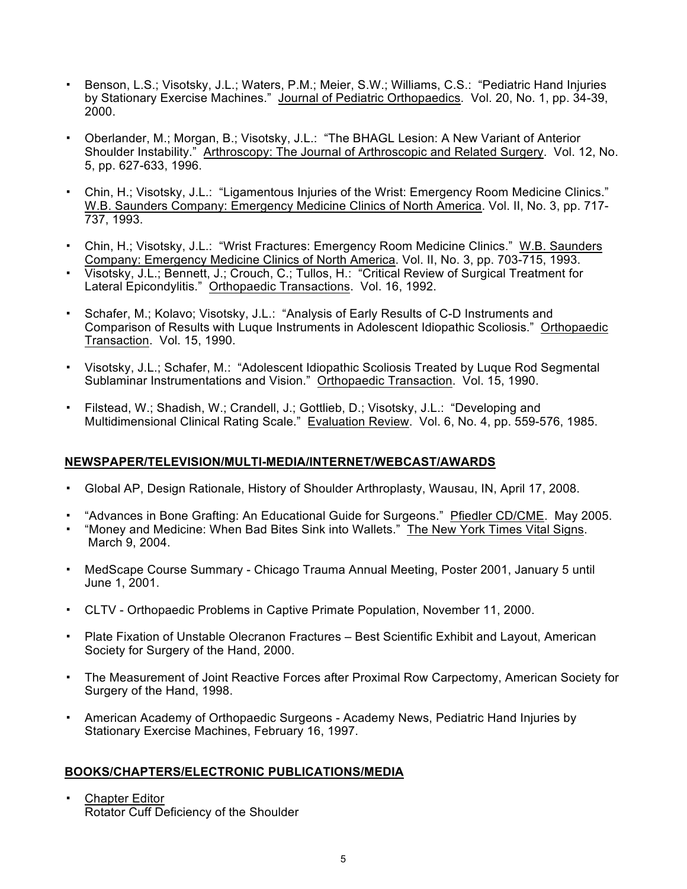- Benson, L.S.; Visotsky, J.L.; Waters, P.M.; Meier, S.W.; Williams, C.S.: "Pediatric Hand Injuries by Stationary Exercise Machines." Journal of Pediatric Orthopaedics. Vol. 20, No. 1, pp. 34-39, 2000.
- Oberlander, M.; Morgan, B.; Visotsky, J.L.: "The BHAGL Lesion: A New Variant of Anterior Shoulder Instability." Arthroscopy: The Journal of Arthroscopic and Related Surgery. Vol. 12, No. 5, pp. 627-633, 1996.
- Chin, H.; Visotsky, J.L.: "Ligamentous Injuries of the Wrist: Emergency Room Medicine Clinics." W.B. Saunders Company: Emergency Medicine Clinics of North America. Vol. II, No. 3, pp. 717- 737, 1993.
- Chin, H.; Visotsky, J.L.: "Wrist Fractures: Emergency Room Medicine Clinics." W.B. Saunders Company: Emergency Medicine Clinics of North America. Vol. II, No. 3, pp. 703-715, 1993.
- Visotsky, J.L.; Bennett, J.; Crouch, C.; Tullos, H.: "Critical Review of Surgical Treatment for Lateral Epicondylitis." Orthopaedic Transactions. Vol. 16, 1992.
- Schafer, M.; Kolavo; Visotsky, J.L.: "Analysis of Early Results of C-D Instruments and Comparison of Results with Luque Instruments in Adolescent Idiopathic Scoliosis." Orthopaedic Transaction. Vol. 15, 1990.
- Visotsky, J.L.; Schafer, M.: "Adolescent Idiopathic Scoliosis Treated by Luque Rod Segmental Sublaminar Instrumentations and Vision." Orthopaedic Transaction. Vol. 15, 1990.
- Filstead, W.; Shadish, W.; Crandell, J.; Gottlieb, D.; Visotsky, J.L.: "Developing and Multidimensional Clinical Rating Scale." Evaluation Review. Vol. 6, No. 4, pp. 559-576, 1985.

## **NEWSPAPER/TELEVISION/MULTI-MEDIA/INTERNET/WEBCAST/AWARDS**

- Global AP, Design Rationale, History of Shoulder Arthroplasty, Wausau, IN, April 17, 2008.
- <sup>-</sup> "Advances in Bone Grafting: An Educational Guide for Surgeons." Pfiedler CD/CME. May 2005.
- "Money and Medicine: When Bad Bites Sink into Wallets." The New York Times Vital Signs. March 9, 2004.
- MedScape Course Summary Chicago Trauma Annual Meeting, Poster 2001, January 5 until June 1, 2001.
- CLTV Orthopaedic Problems in Captive Primate Population, November 11, 2000.
- Plate Fixation of Unstable Olecranon Fractures Best Scientific Exhibit and Layout, American Society for Surgery of the Hand, 2000.
- The Measurement of Joint Reactive Forces after Proximal Row Carpectomy, American Society for Surgery of the Hand, 1998.
- American Academy of Orthopaedic Surgeons Academy News, Pediatric Hand Injuries by Stationary Exercise Machines, February 16, 1997.

## **BOOKS/CHAPTERS/ELECTRONIC PUBLICATIONS/MEDIA**

▪ Chapter Editor Rotator Cuff Deficiency of the Shoulder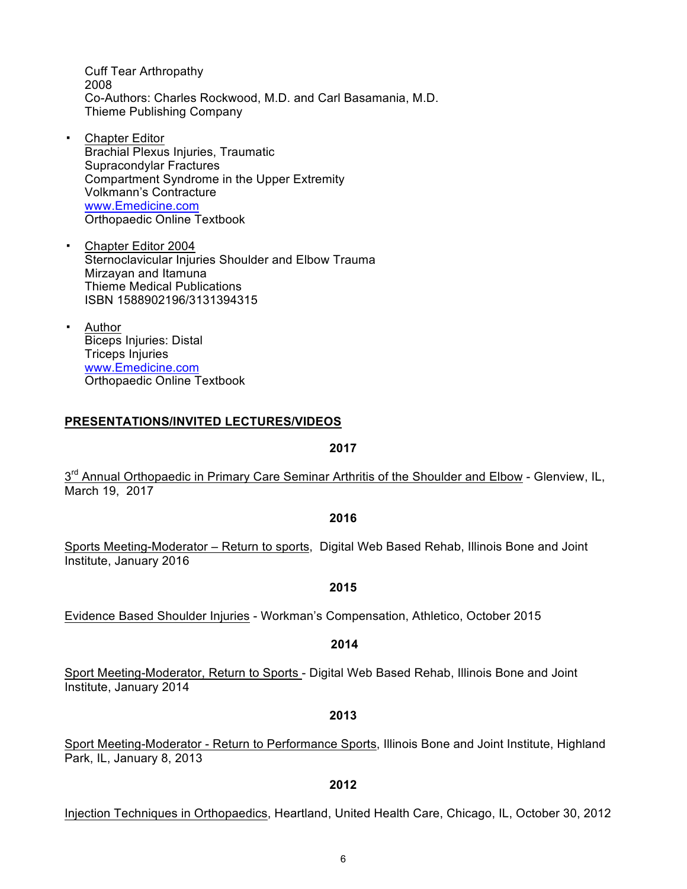Cuff Tear Arthropathy 2008 Co-Authors: Charles Rockwood, M.D. and Carl Basamania, M.D. Thieme Publishing Company

- Chapter Editor Brachial Plexus Injuries, Traumatic Supracondylar Fractures Compartment Syndrome in the Upper Extremity Volkmann's Contracture www.Emedicine.com Orthopaedic Online Textbook
- Chapter Editor 2004 Sternoclavicular Injuries Shoulder and Elbow Trauma Mirzayan and Itamuna Thieme Medical Publications ISBN 1588902196/3131394315
- Author Biceps Injuries: Distal Triceps Injuries www.Emedicine.com Orthopaedic Online Textbook

## **PRESENTATIONS/INVITED LECTURES/VIDEOS**

#### **2017**

3<sup>rd</sup> Annual Orthopaedic in Primary Care Seminar Arthritis of the Shoulder and Elbow - Glenview, IL, March 19, 2017

#### **2016**

Sports Meeting-Moderator – Return to sports, Digital Web Based Rehab, Illinois Bone and Joint Institute, January 2016

#### **2015**

Evidence Based Shoulder Injuries - Workman's Compensation, Athletico, October 2015

#### **2014**

Sport Meeting-Moderator, Return to Sports - Digital Web Based Rehab, Illinois Bone and Joint Institute, January 2014

#### **2013**

Sport Meeting-Moderator - Return to Performance Sports, Illinois Bone and Joint Institute, Highland Park, IL, January 8, 2013

#### **2012**

Injection Techniques in Orthopaedics, Heartland, United Health Care, Chicago, IL, October 30, 2012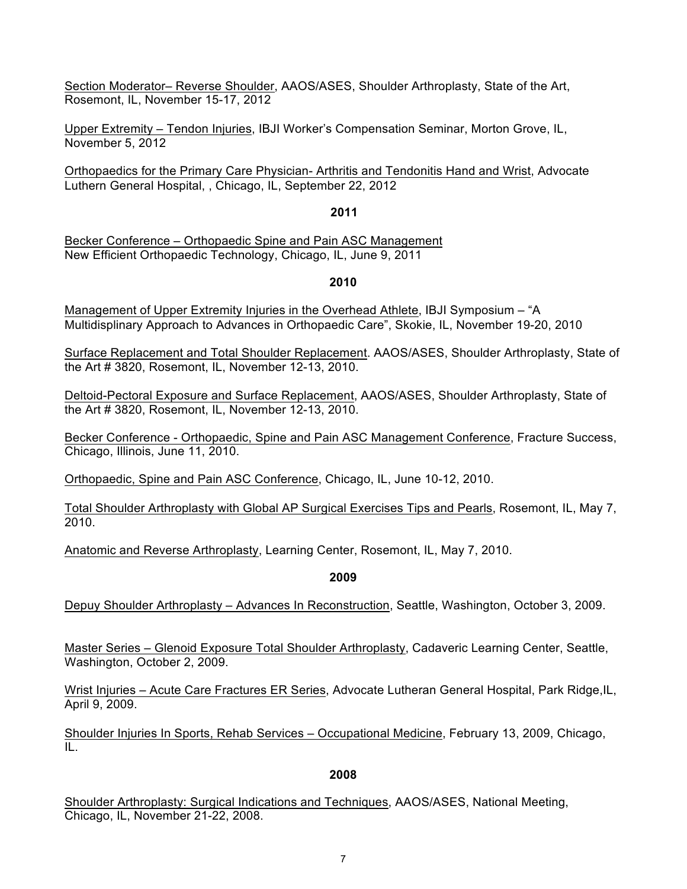Section Moderator– Reverse Shoulder, AAOS/ASES, Shoulder Arthroplasty, State of the Art, Rosemont, IL, November 15-17, 2012

Upper Extremity – Tendon Injuries, IBJI Worker's Compensation Seminar, Morton Grove, IL, November 5, 2012

Orthopaedics for the Primary Care Physician- Arthritis and Tendonitis Hand and Wrist, Advocate Luthern General Hospital, , Chicago, IL, September 22, 2012

### **2011**

Becker Conference – Orthopaedic Spine and Pain ASC Management New Efficient Orthopaedic Technology, Chicago, IL, June 9, 2011

## **2010**

Management of Upper Extremity Injuries in the Overhead Athlete, IBJI Symposium – "A Multidisplinary Approach to Advances in Orthopaedic Care", Skokie, IL, November 19-20, 2010

Surface Replacement and Total Shoulder Replacement. AAOS/ASES, Shoulder Arthroplasty, State of the Art # 3820, Rosemont, IL, November 12-13, 2010.

Deltoid-Pectoral Exposure and Surface Replacement, AAOS/ASES, Shoulder Arthroplasty, State of the Art # 3820, Rosemont, IL, November 12-13, 2010.

Becker Conference - Orthopaedic, Spine and Pain ASC Management Conference, Fracture Success, Chicago, Illinois, June 11, 2010.

Orthopaedic, Spine and Pain ASC Conference, Chicago, IL, June 10-12, 2010.

Total Shoulder Arthroplasty with Global AP Surgical Exercises Tips and Pearls, Rosemont, IL, May 7, 2010.

Anatomic and Reverse Arthroplasty, Learning Center, Rosemont, IL, May 7, 2010.

**2009**

Depuy Shoulder Arthroplasty – Advances In Reconstruction, Seattle, Washington, October 3, 2009.

Master Series – Glenoid Exposure Total Shoulder Arthroplasty, Cadaveric Learning Center, Seattle, Washington, October 2, 2009.

Wrist Injuries – Acute Care Fractures ER Series, Advocate Lutheran General Hospital, Park Ridge,IL, April 9, 2009.

Shoulder Injuries In Sports, Rehab Services – Occupational Medicine, February 13, 2009, Chicago, IL.

## **2008**

Shoulder Arthroplasty: Surgical Indications and Techniques, AAOS/ASES, National Meeting, Chicago, IL, November 21-22, 2008.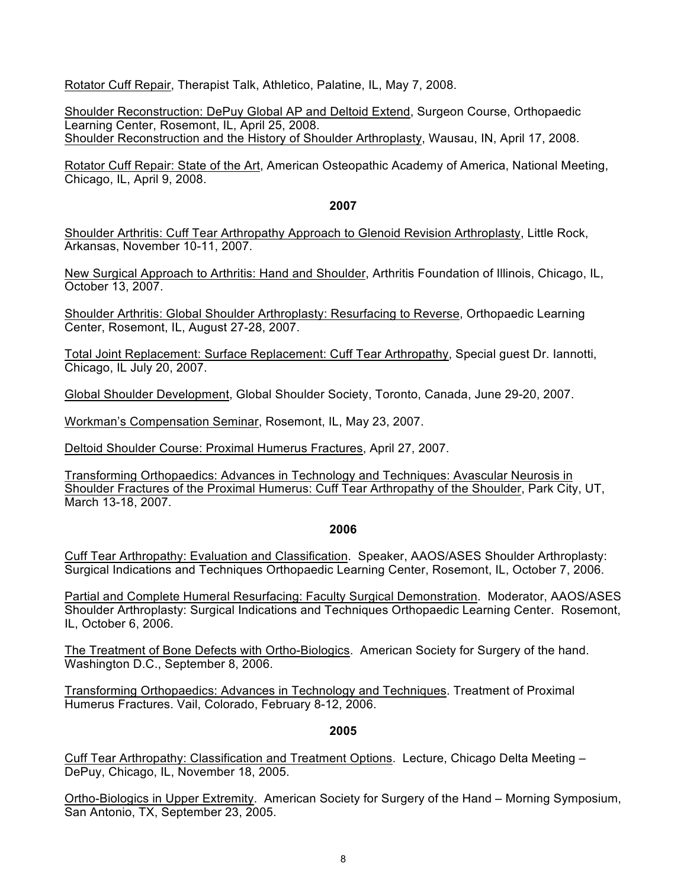Rotator Cuff Repair, Therapist Talk, Athletico, Palatine, IL, May 7, 2008.

Shoulder Reconstruction: DePuy Global AP and Deltoid Extend, Surgeon Course, Orthopaedic Learning Center, Rosemont, IL, April 25, 2008. Shoulder Reconstruction and the History of Shoulder Arthroplasty, Wausau, IN, April 17, 2008.

Rotator Cuff Repair: State of the Art, American Osteopathic Academy of America, National Meeting, Chicago, IL, April 9, 2008.

### **2007**

Shoulder Arthritis: Cuff Tear Arthropathy Approach to Glenoid Revision Arthroplasty, Little Rock, Arkansas, November 10-11, 2007.

New Surgical Approach to Arthritis: Hand and Shoulder, Arthritis Foundation of Illinois, Chicago, IL, October 13, 2007.

Shoulder Arthritis: Global Shoulder Arthroplasty: Resurfacing to Reverse, Orthopaedic Learning Center, Rosemont, IL, August 27-28, 2007.

Total Joint Replacement: Surface Replacement: Cuff Tear Arthropathy, Special guest Dr. Iannotti, Chicago, IL July 20, 2007.

Global Shoulder Development, Global Shoulder Society, Toronto, Canada, June 29-20, 2007.

Workman's Compensation Seminar, Rosemont, IL, May 23, 2007.

Deltoid Shoulder Course: Proximal Humerus Fractures, April 27, 2007.

Transforming Orthopaedics: Advances in Technology and Techniques: Avascular Neurosis in Shoulder Fractures of the Proximal Humerus: Cuff Tear Arthropathy of the Shoulder, Park City, UT, March 13-18, 2007.

## **2006**

Cuff Tear Arthropathy: Evaluation and Classification. Speaker, AAOS/ASES Shoulder Arthroplasty: Surgical Indications and Techniques Orthopaedic Learning Center, Rosemont, IL, October 7, 2006.

Partial and Complete Humeral Resurfacing: Faculty Surgical Demonstration. Moderator, AAOS/ASES Shoulder Arthroplasty: Surgical Indications and Techniques Orthopaedic Learning Center. Rosemont, IL, October 6, 2006.

The Treatment of Bone Defects with Ortho-Biologics. American Society for Surgery of the hand. Washington D.C., September 8, 2006.

Transforming Orthopaedics: Advances in Technology and Techniques. Treatment of Proximal Humerus Fractures. Vail, Colorado, February 8-12, 2006.

## **2005**

Cuff Tear Arthropathy: Classification and Treatment Options. Lecture, Chicago Delta Meeting – DePuy, Chicago, IL, November 18, 2005.

Ortho-Biologics in Upper Extremity. American Society for Surgery of the Hand – Morning Symposium, San Antonio, TX, September 23, 2005.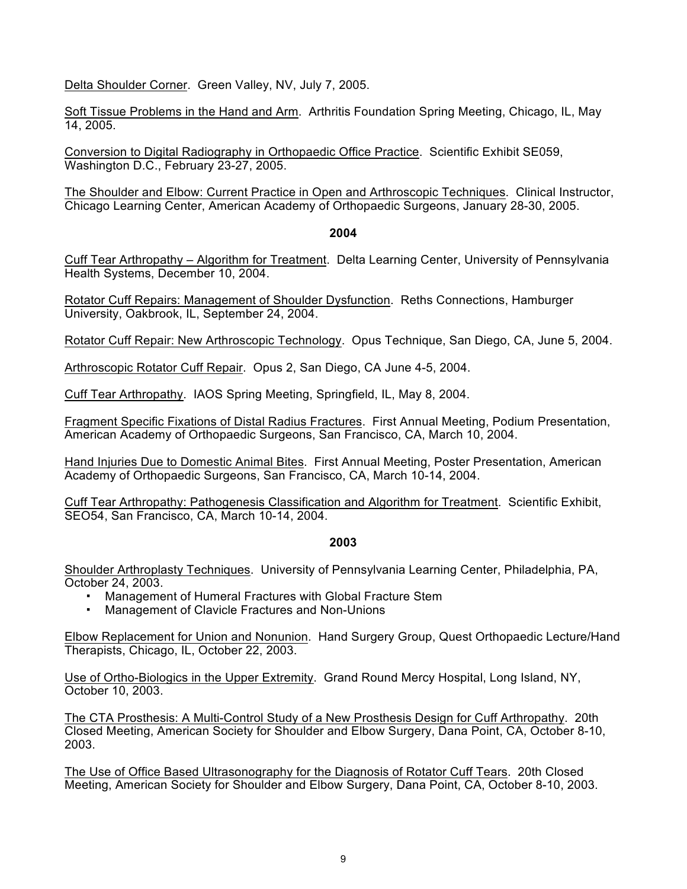Delta Shoulder Corner. Green Valley, NV, July 7, 2005.

Soft Tissue Problems in the Hand and Arm. Arthritis Foundation Spring Meeting, Chicago, IL, May 14, 2005.

Conversion to Digital Radiography in Orthopaedic Office Practice. Scientific Exhibit SE059, Washington D.C., February 23-27, 2005.

The Shoulder and Elbow: Current Practice in Open and Arthroscopic Techniques. Clinical Instructor, Chicago Learning Center, American Academy of Orthopaedic Surgeons, January 28-30, 2005.

### **2004**

Cuff Tear Arthropathy – Algorithm for Treatment. Delta Learning Center, University of Pennsylvania Health Systems, December 10, 2004.

Rotator Cuff Repairs: Management of Shoulder Dysfunction. Reths Connections, Hamburger University, Oakbrook, IL, September 24, 2004.

Rotator Cuff Repair: New Arthroscopic Technology. Opus Technique, San Diego, CA, June 5, 2004.

Arthroscopic Rotator Cuff Repair. Opus 2, San Diego, CA June 4-5, 2004.

Cuff Tear Arthropathy. IAOS Spring Meeting, Springfield, IL, May 8, 2004.

Fragment Specific Fixations of Distal Radius Fractures. First Annual Meeting, Podium Presentation, American Academy of Orthopaedic Surgeons, San Francisco, CA, March 10, 2004.

Hand Injuries Due to Domestic Animal Bites. First Annual Meeting, Poster Presentation, American Academy of Orthopaedic Surgeons, San Francisco, CA, March 10-14, 2004.

Cuff Tear Arthropathy: Pathogenesis Classification and Algorithm for Treatment. Scientific Exhibit, SEO54, San Francisco, CA, March 10-14, 2004.

## **2003**

Shoulder Arthroplasty Techniques. University of Pennsylvania Learning Center, Philadelphia, PA, October 24, 2003.

- Management of Humeral Fractures with Global Fracture Stem
- Management of Clavicle Fractures and Non-Unions

Elbow Replacement for Union and Nonunion. Hand Surgery Group, Quest Orthopaedic Lecture/Hand Therapists, Chicago, IL, October 22, 2003.

Use of Ortho-Biologics in the Upper Extremity. Grand Round Mercy Hospital, Long Island, NY, October 10, 2003.

The CTA Prosthesis: A Multi-Control Study of a New Prosthesis Design for Cuff Arthropathy. 20th Closed Meeting, American Society for Shoulder and Elbow Surgery, Dana Point, CA, October 8-10, 2003.

The Use of Office Based Ultrasonography for the Diagnosis of Rotator Cuff Tears. 20th Closed Meeting, American Society for Shoulder and Elbow Surgery, Dana Point, CA, October 8-10, 2003.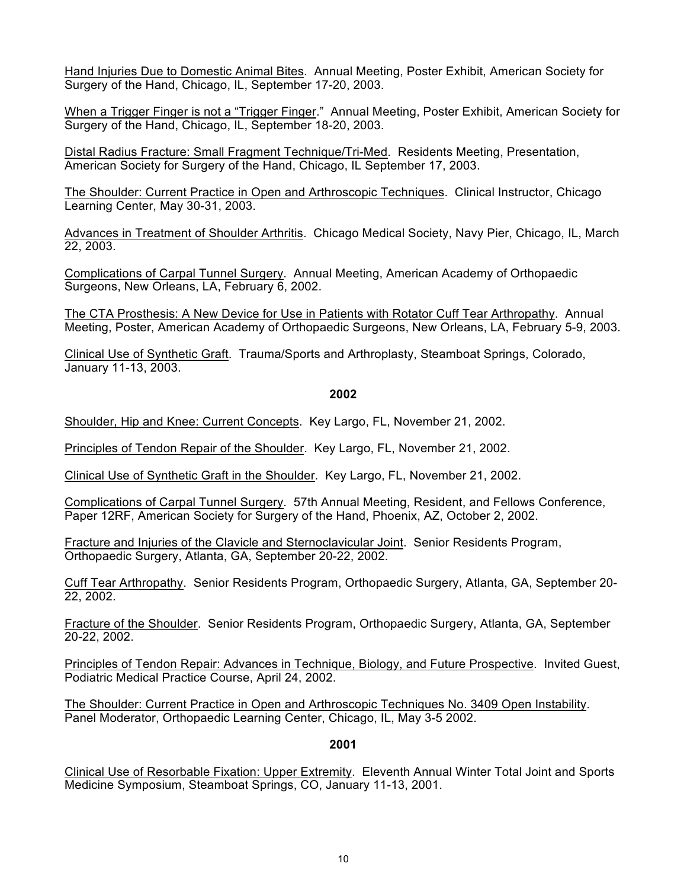Hand Injuries Due to Domestic Animal Bites. Annual Meeting, Poster Exhibit, American Society for Surgery of the Hand, Chicago, IL, September 17-20, 2003.

When a Trigger Finger is not a "Trigger Finger." Annual Meeting, Poster Exhibit, American Society for Surgery of the Hand, Chicago, IL, September 18-20, 2003.

Distal Radius Fracture: Small Fragment Technique/Tri-Med. Residents Meeting, Presentation, American Society for Surgery of the Hand, Chicago, IL September 17, 2003.

The Shoulder: Current Practice in Open and Arthroscopic Techniques. Clinical Instructor, Chicago Learning Center, May 30-31, 2003.

Advances in Treatment of Shoulder Arthritis. Chicago Medical Society, Navy Pier, Chicago, IL, March 22, 2003.

Complications of Carpal Tunnel Surgery. Annual Meeting, American Academy of Orthopaedic Surgeons, New Orleans, LA, February 6, 2002.

The CTA Prosthesis: A New Device for Use in Patients with Rotator Cuff Tear Arthropathy. Annual Meeting, Poster, American Academy of Orthopaedic Surgeons, New Orleans, LA, February 5-9, 2003.

Clinical Use of Synthetic Graft. Trauma/Sports and Arthroplasty, Steamboat Springs, Colorado, January 11-13, 2003.

### **2002**

Shoulder, Hip and Knee: Current Concepts. Key Largo, FL, November 21, 2002.

Principles of Tendon Repair of the Shoulder. Key Largo, FL, November 21, 2002.

Clinical Use of Synthetic Graft in the Shoulder. Key Largo, FL, November 21, 2002.

Complications of Carpal Tunnel Surgery. 57th Annual Meeting, Resident, and Fellows Conference, Paper 12RF, American Society for Surgery of the Hand, Phoenix, AZ, October 2, 2002.

Fracture and Injuries of the Clavicle and Sternoclavicular Joint. Senior Residents Program, Orthopaedic Surgery, Atlanta, GA, September 20-22, 2002.

Cuff Tear Arthropathy. Senior Residents Program, Orthopaedic Surgery, Atlanta, GA, September 20- 22, 2002.

Fracture of the Shoulder. Senior Residents Program, Orthopaedic Surgery, Atlanta, GA, September 20-22, 2002.

Principles of Tendon Repair: Advances in Technique, Biology, and Future Prospective. Invited Guest, Podiatric Medical Practice Course, April 24, 2002.

The Shoulder: Current Practice in Open and Arthroscopic Techniques No. 3409 Open Instability. Panel Moderator, Orthopaedic Learning Center, Chicago, IL, May 3-5 2002.

### **2001**

Clinical Use of Resorbable Fixation: Upper Extremity. Eleventh Annual Winter Total Joint and Sports Medicine Symposium, Steamboat Springs, CO, January 11-13, 2001.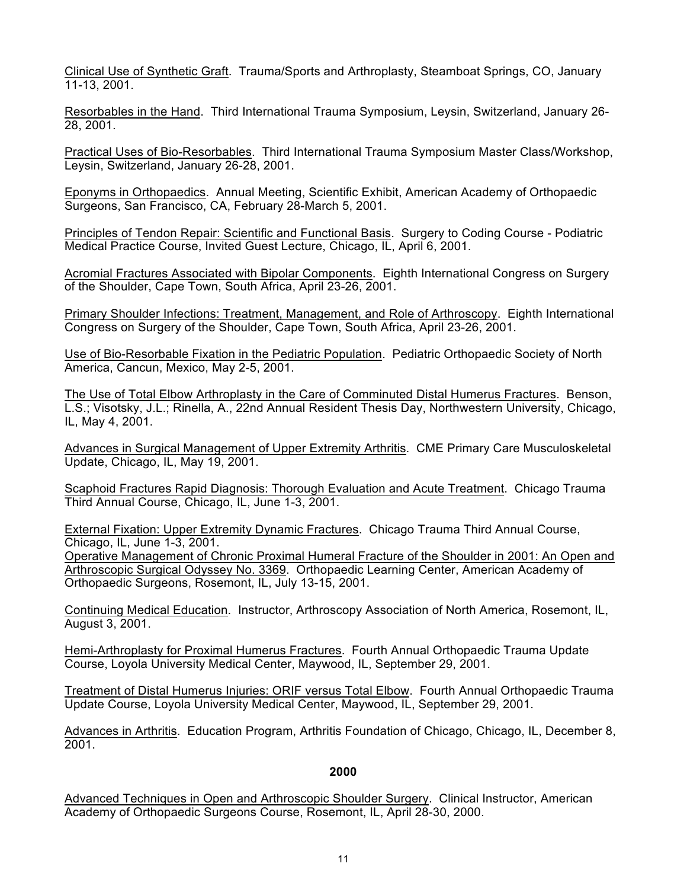Clinical Use of Synthetic Graft. Trauma/Sports and Arthroplasty, Steamboat Springs, CO, January 11-13, 2001.

Resorbables in the Hand. Third International Trauma Symposium, Leysin, Switzerland, January 26- 28, 2001.

Practical Uses of Bio-Resorbables. Third International Trauma Symposium Master Class/Workshop, Leysin, Switzerland, January 26-28, 2001.

Eponyms in Orthopaedics. Annual Meeting, Scientific Exhibit, American Academy of Orthopaedic Surgeons, San Francisco, CA, February 28-March 5, 2001.

Principles of Tendon Repair: Scientific and Functional Basis. Surgery to Coding Course - Podiatric Medical Practice Course, Invited Guest Lecture, Chicago, IL, April 6, 2001.

Acromial Fractures Associated with Bipolar Components. Eighth International Congress on Surgery of the Shoulder, Cape Town, South Africa, April 23-26, 2001.

Primary Shoulder Infections: Treatment, Management, and Role of Arthroscopy. Eighth International Congress on Surgery of the Shoulder, Cape Town, South Africa, April 23-26, 2001.

Use of Bio-Resorbable Fixation in the Pediatric Population. Pediatric Orthopaedic Society of North America, Cancun, Mexico, May 2-5, 2001.

The Use of Total Elbow Arthroplasty in the Care of Comminuted Distal Humerus Fractures. Benson, L.S.; Visotsky, J.L.; Rinella, A., 22nd Annual Resident Thesis Day, Northwestern University, Chicago, IL, May 4, 2001.

Advances in Surgical Management of Upper Extremity Arthritis. CME Primary Care Musculoskeletal Update, Chicago, IL, May 19, 2001.

Scaphoid Fractures Rapid Diagnosis: Thorough Evaluation and Acute Treatment. Chicago Trauma Third Annual Course, Chicago, IL, June 1-3, 2001.

External Fixation: Upper Extremity Dynamic Fractures. Chicago Trauma Third Annual Course, Chicago, IL, June 1-3, 2001.

Operative Management of Chronic Proximal Humeral Fracture of the Shoulder in 2001: An Open and Arthroscopic Surgical Odyssey No. 3369. Orthopaedic Learning Center, American Academy of Orthopaedic Surgeons, Rosemont, IL, July 13-15, 2001.

Continuing Medical Education. Instructor, Arthroscopy Association of North America, Rosemont, IL, August 3, 2001.

Hemi-Arthroplasty for Proximal Humerus Fractures. Fourth Annual Orthopaedic Trauma Update Course, Loyola University Medical Center, Maywood, IL, September 29, 2001.

Treatment of Distal Humerus Injuries: ORIF versus Total Elbow. Fourth Annual Orthopaedic Trauma Update Course, Loyola University Medical Center, Maywood, IL, September 29, 2001.

Advances in Arthritis. Education Program, Arthritis Foundation of Chicago, Chicago, IL, December 8, 2001.

## **2000**

Advanced Techniques in Open and Arthroscopic Shoulder Surgery. Clinical Instructor, American Academy of Orthopaedic Surgeons Course, Rosemont, IL, April 28-30, 2000.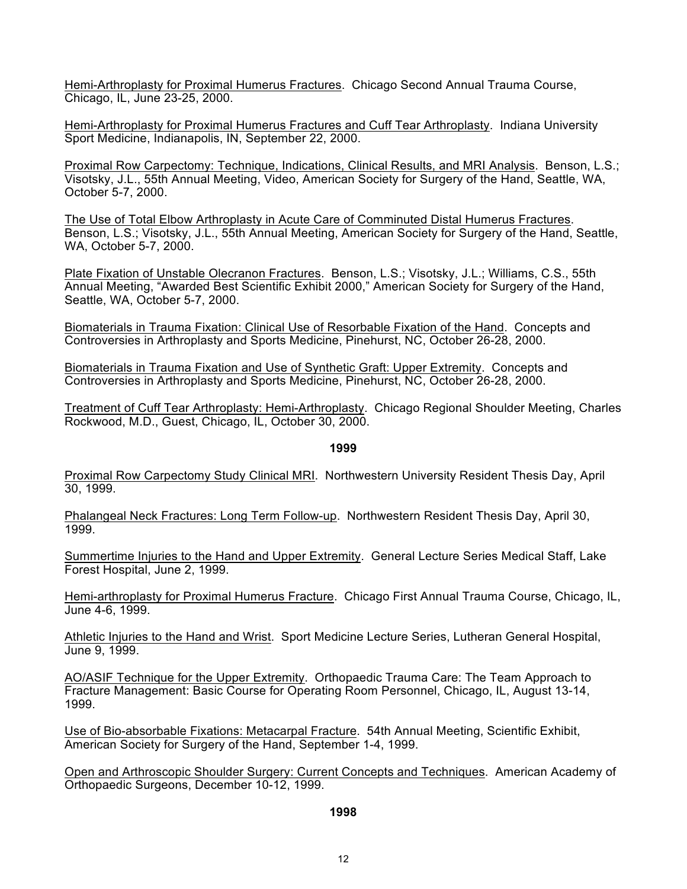Hemi-Arthroplasty for Proximal Humerus Fractures. Chicago Second Annual Trauma Course, Chicago, IL, June 23-25, 2000.

Hemi-Arthroplasty for Proximal Humerus Fractures and Cuff Tear Arthroplasty. Indiana University Sport Medicine, Indianapolis, IN, September 22, 2000.

Proximal Row Carpectomy: Technique, Indications, Clinical Results, and MRI Analysis. Benson, L.S.; Visotsky, J.L., 55th Annual Meeting, Video, American Society for Surgery of the Hand, Seattle, WA, October 5-7, 2000.

The Use of Total Elbow Arthroplasty in Acute Care of Comminuted Distal Humerus Fractures. Benson, L.S.; Visotsky, J.L., 55th Annual Meeting, American Society for Surgery of the Hand, Seattle, WA, October 5-7, 2000.

Plate Fixation of Unstable Olecranon Fractures. Benson, L.S.; Visotsky, J.L.; Williams, C.S., 55th Annual Meeting, "Awarded Best Scientific Exhibit 2000," American Society for Surgery of the Hand, Seattle, WA, October 5-7, 2000.

Biomaterials in Trauma Fixation: Clinical Use of Resorbable Fixation of the Hand. Concepts and Controversies in Arthroplasty and Sports Medicine, Pinehurst, NC, October 26-28, 2000.

Biomaterials in Trauma Fixation and Use of Synthetic Graft: Upper Extremity. Concepts and Controversies in Arthroplasty and Sports Medicine, Pinehurst, NC, October 26-28, 2000.

Treatment of Cuff Tear Arthroplasty: Hemi-Arthroplasty. Chicago Regional Shoulder Meeting, Charles Rockwood, M.D., Guest, Chicago, IL, October 30, 2000.

#### **1999**

Proximal Row Carpectomy Study Clinical MRI. Northwestern University Resident Thesis Day, April 30, 1999.

Phalangeal Neck Fractures: Long Term Follow-up. Northwestern Resident Thesis Day, April 30, 1999.

Summertime Injuries to the Hand and Upper Extremity. General Lecture Series Medical Staff, Lake Forest Hospital, June 2, 1999.

Hemi-arthroplasty for Proximal Humerus Fracture. Chicago First Annual Trauma Course, Chicago, IL, June 4-6, 1999.

Athletic Injuries to the Hand and Wrist. Sport Medicine Lecture Series, Lutheran General Hospital, June 9, 1999.

AO/ASIF Technique for the Upper Extremity. Orthopaedic Trauma Care: The Team Approach to Fracture Management: Basic Course for Operating Room Personnel, Chicago, IL, August 13-14, 1999.

Use of Bio-absorbable Fixations: Metacarpal Fracture. 54th Annual Meeting, Scientific Exhibit, American Society for Surgery of the Hand, September 1-4, 1999.

Open and Arthroscopic Shoulder Surgery: Current Concepts and Techniques. American Academy of Orthopaedic Surgeons, December 10-12, 1999.

#### **1998**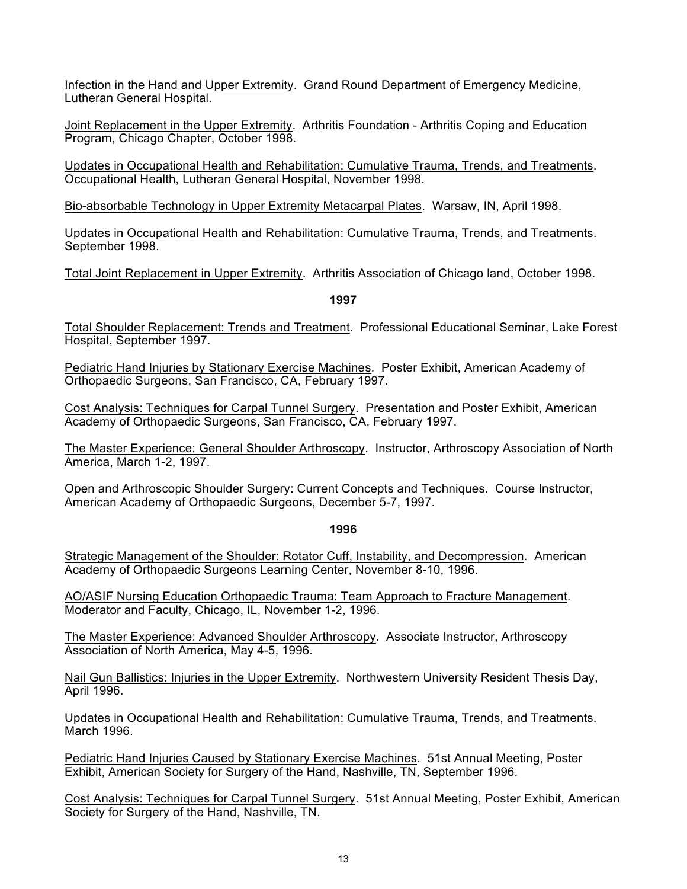Infection in the Hand and Upper Extremity. Grand Round Department of Emergency Medicine, Lutheran General Hospital.

Joint Replacement in the Upper Extremity. Arthritis Foundation - Arthritis Coping and Education Program, Chicago Chapter, October 1998.

Updates in Occupational Health and Rehabilitation: Cumulative Trauma, Trends, and Treatments. Occupational Health, Lutheran General Hospital, November 1998.

Bio-absorbable Technology in Upper Extremity Metacarpal Plates. Warsaw, IN, April 1998.

Updates in Occupational Health and Rehabilitation: Cumulative Trauma, Trends, and Treatments. September 1998.

Total Joint Replacement in Upper Extremity. Arthritis Association of Chicago land, October 1998.

### **1997**

Total Shoulder Replacement: Trends and Treatment. Professional Educational Seminar, Lake Forest Hospital, September 1997.

Pediatric Hand Injuries by Stationary Exercise Machines. Poster Exhibit, American Academy of Orthopaedic Surgeons, San Francisco, CA, February 1997.

Cost Analysis: Techniques for Carpal Tunnel Surgery. Presentation and Poster Exhibit, American Academy of Orthopaedic Surgeons, San Francisco, CA, February 1997.

The Master Experience: General Shoulder Arthroscopy. Instructor, Arthroscopy Association of North America, March 1-2, 1997.

Open and Arthroscopic Shoulder Surgery: Current Concepts and Techniques. Course Instructor, American Academy of Orthopaedic Surgeons, December 5-7, 1997.

#### **1996**

Strategic Management of the Shoulder: Rotator Cuff, Instability, and Decompression. American Academy of Orthopaedic Surgeons Learning Center, November 8-10, 1996.

AO/ASIF Nursing Education Orthopaedic Trauma: Team Approach to Fracture Management. Moderator and Faculty, Chicago, IL, November 1-2, 1996.

The Master Experience: Advanced Shoulder Arthroscopy. Associate Instructor, Arthroscopy Association of North America, May 4-5, 1996.

Nail Gun Ballistics: Injuries in the Upper Extremity. Northwestern University Resident Thesis Day, April 1996.

Updates in Occupational Health and Rehabilitation: Cumulative Trauma, Trends, and Treatments. March 1996.

Pediatric Hand Injuries Caused by Stationary Exercise Machines. 51st Annual Meeting, Poster Exhibit, American Society for Surgery of the Hand, Nashville, TN, September 1996.

Cost Analysis: Techniques for Carpal Tunnel Surgery. 51st Annual Meeting, Poster Exhibit, American Society for Surgery of the Hand, Nashville, TN.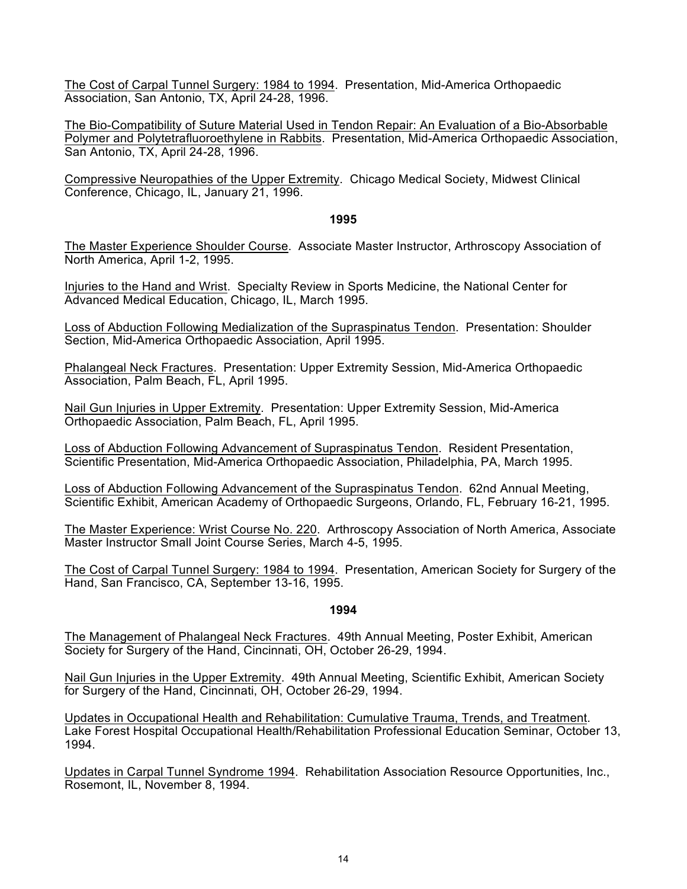The Cost of Carpal Tunnel Surgery: 1984 to 1994. Presentation, Mid-America Orthopaedic Association, San Antonio, TX, April 24-28, 1996.

The Bio-Compatibility of Suture Material Used in Tendon Repair: An Evaluation of a Bio-Absorbable Polymer and Polytetrafluoroethylene in Rabbits. Presentation, Mid-America Orthopaedic Association, San Antonio, TX, April 24-28, 1996.

Compressive Neuropathies of the Upper Extremity. Chicago Medical Society, Midwest Clinical Conference, Chicago, IL, January 21, 1996.

#### **1995**

The Master Experience Shoulder Course. Associate Master Instructor, Arthroscopy Association of North America, April 1-2, 1995.

Injuries to the Hand and Wrist. Specialty Review in Sports Medicine, the National Center for Advanced Medical Education, Chicago, IL, March 1995.

Loss of Abduction Following Medialization of the Supraspinatus Tendon. Presentation: Shoulder Section, Mid-America Orthopaedic Association, April 1995.

Phalangeal Neck Fractures. Presentation: Upper Extremity Session, Mid-America Orthopaedic Association, Palm Beach, FL, April 1995.

Nail Gun Injuries in Upper Extremity. Presentation: Upper Extremity Session, Mid-America Orthopaedic Association, Palm Beach, FL, April 1995.

Loss of Abduction Following Advancement of Supraspinatus Tendon. Resident Presentation, Scientific Presentation, Mid-America Orthopaedic Association, Philadelphia, PA, March 1995.

Loss of Abduction Following Advancement of the Supraspinatus Tendon. 62nd Annual Meeting, Scientific Exhibit, American Academy of Orthopaedic Surgeons, Orlando, FL, February 16-21, 1995.

The Master Experience: Wrist Course No. 220. Arthroscopy Association of North America, Associate Master Instructor Small Joint Course Series, March 4-5, 1995.

The Cost of Carpal Tunnel Surgery: 1984 to 1994. Presentation, American Society for Surgery of the Hand, San Francisco, CA, September 13-16, 1995.

#### **1994**

The Management of Phalangeal Neck Fractures. 49th Annual Meeting, Poster Exhibit, American Society for Surgery of the Hand, Cincinnati, OH, October 26-29, 1994.

Nail Gun Injuries in the Upper Extremity. 49th Annual Meeting, Scientific Exhibit, American Society for Surgery of the Hand, Cincinnati, OH, October 26-29, 1994.

Updates in Occupational Health and Rehabilitation: Cumulative Trauma, Trends, and Treatment. Lake Forest Hospital Occupational Health/Rehabilitation Professional Education Seminar, October 13, 1994.

Updates in Carpal Tunnel Syndrome 1994. Rehabilitation Association Resource Opportunities, Inc., Rosemont, IL, November 8, 1994.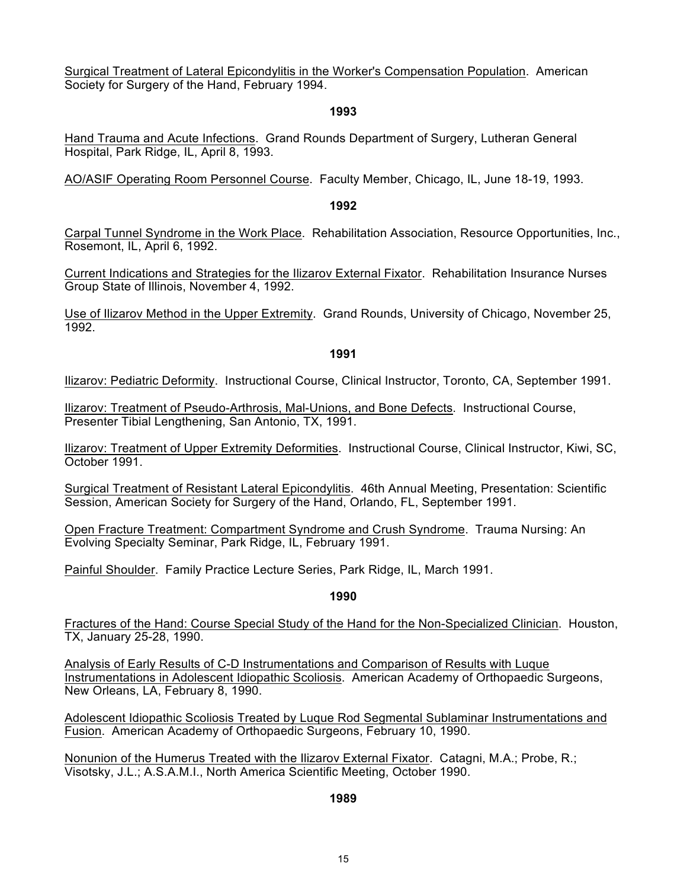Surgical Treatment of Lateral Epicondylitis in the Worker's Compensation Population. American Society for Surgery of the Hand, February 1994.

### **1993**

Hand Trauma and Acute Infections. Grand Rounds Department of Surgery, Lutheran General Hospital, Park Ridge, IL, April 8, 1993.

AO/ASIF Operating Room Personnel Course. Faculty Member, Chicago, IL, June 18-19, 1993.

### **1992**

Carpal Tunnel Syndrome in the Work Place. Rehabilitation Association, Resource Opportunities, Inc., Rosemont, IL, April 6, 1992.

Current Indications and Strategies for the Ilizarov External Fixator. Rehabilitation Insurance Nurses Group State of Illinois, November 4, 1992.

Use of Ilizarov Method in the Upper Extremity. Grand Rounds, University of Chicago, November 25, 1992.

### **1991**

Ilizarov: Pediatric Deformity. Instructional Course, Clinical Instructor, Toronto, CA, September 1991.

Ilizarov: Treatment of Pseudo-Arthrosis, Mal-Unions, and Bone Defects. Instructional Course, Presenter Tibial Lengthening, San Antonio, TX, 1991.

Ilizarov: Treatment of Upper Extremity Deformities. Instructional Course, Clinical Instructor, Kiwi, SC, October 1991.

Surgical Treatment of Resistant Lateral Epicondylitis. 46th Annual Meeting, Presentation: Scientific Session, American Society for Surgery of the Hand, Orlando, FL, September 1991.

Open Fracture Treatment: Compartment Syndrome and Crush Syndrome. Trauma Nursing: An Evolving Specialty Seminar, Park Ridge, IL, February 1991.

Painful Shoulder. Family Practice Lecture Series, Park Ridge, IL, March 1991.

**1990**

Fractures of the Hand: Course Special Study of the Hand for the Non-Specialized Clinician. Houston, TX, January 25-28, 1990.

Analysis of Early Results of C-D Instrumentations and Comparison of Results with Luque Instrumentations in Adolescent Idiopathic Scoliosis. American Academy of Orthopaedic Surgeons, New Orleans, LA, February 8, 1990.

Adolescent Idiopathic Scoliosis Treated by Luque Rod Segmental Sublaminar Instrumentations and Fusion. American Academy of Orthopaedic Surgeons, February 10, 1990.

Nonunion of the Humerus Treated with the Ilizarov External Fixator. Catagni, M.A.; Probe, R.; Visotsky, J.L.; A.S.A.M.I., North America Scientific Meeting, October 1990.

## **1989**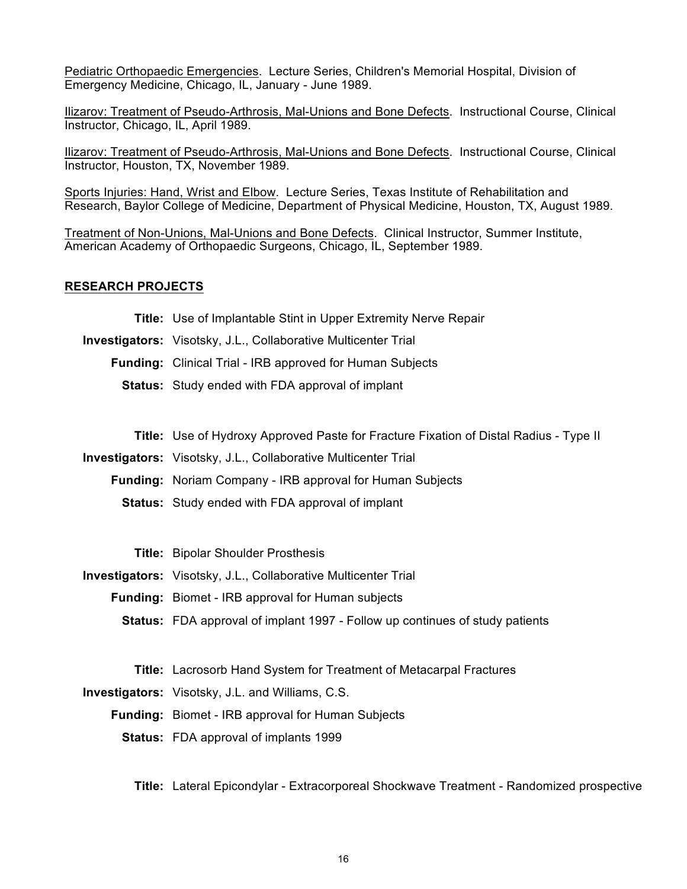Pediatric Orthopaedic Emergencies. Lecture Series, Children's Memorial Hospital, Division of Emergency Medicine, Chicago, IL, January - June 1989.

Ilizarov: Treatment of Pseudo-Arthrosis, Mal-Unions and Bone Defects. Instructional Course, Clinical Instructor, Chicago, IL, April 1989.

Ilizarov: Treatment of Pseudo-Arthrosis, Mal-Unions and Bone Defects. Instructional Course, Clinical Instructor, Houston, TX, November 1989.

Sports Injuries: Hand, Wrist and Elbow. Lecture Series, Texas Institute of Rehabilitation and Research, Baylor College of Medicine, Department of Physical Medicine, Houston, TX, August 1989.

Treatment of Non-Unions, Mal-Unions and Bone Defects. Clinical Instructor, Summer Institute, American Academy of Orthopaedic Surgeons, Chicago, IL, September 1989.

#### **RESEARCH PROJECTS**

|  |  | <b>Title:</b> Use of Implantable Stint in Upper Extremity Nerve Repair |  |
|--|--|------------------------------------------------------------------------|--|
|--|--|------------------------------------------------------------------------|--|

- **Investigators:** Visotsky, J.L., Collaborative Multicenter Trial
	- **Funding:** Clinical Trial IRB approved for Human Subjects
		- **Status:** Study ended with FDA approval of implant
			- **Title:** Use of Hydroxy Approved Paste for Fracture Fixation of Distal Radius Type II
- **Investigators:** Visotsky, J.L., Collaborative Multicenter Trial
	- **Funding:** Noriam Company IRB approval for Human Subjects
		- **Status:** Study ended with FDA approval of implant

**Title:** Bipolar Shoulder Prosthesis

**Investigators:** Visotsky, J.L., Collaborative Multicenter Trial

- **Funding:** Biomet IRB approval for Human subjects
	- **Status:** FDA approval of implant 1997 Follow up continues of study patients
		- **Title:** Lacrosorb Hand System for Treatment of Metacarpal Fractures

**Investigators:** Visotsky, J.L. and Williams, C.S.

**Funding:** Biomet - IRB approval for Human Subjects

**Status:** FDA approval of implants 1999

**Title:** Lateral Epicondylar - Extracorporeal Shockwave Treatment - Randomized prospective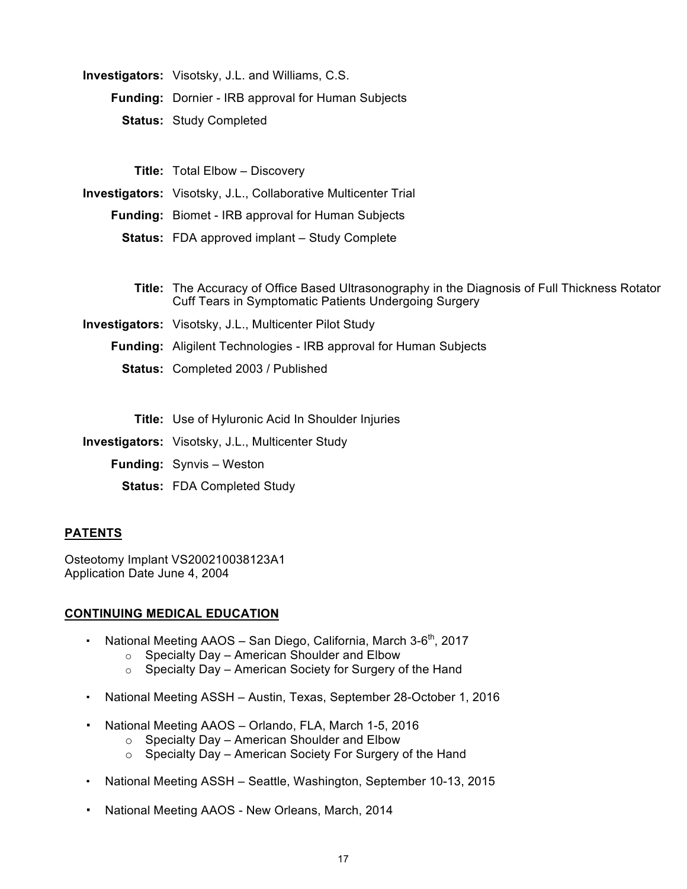| <b>Investigators:</b> Visotsky, J.L. and Williams, C.S.   |
|-----------------------------------------------------------|
| <b>Funding: Dornier - IRB approval for Human Subjects</b> |
| <b>Status: Study Completed</b>                            |

**Title:** Total Elbow – Discovery

**Investigators:** Visotsky, J.L., Collaborative Multicenter Trial

**Funding:** Biomet - IRB approval for Human Subjects

**Status:** FDA approved implant – Study Complete

**Title:** The Accuracy of Office Based Ultrasonography in the Diagnosis of Full Thickness Rotator Cuff Tears in Symptomatic Patients Undergoing Surgery

**Investigators:** Visotsky, J.L., Multicenter Pilot Study

**Funding:** Aligilent Technologies - IRB approval for Human Subjects

**Status:** Completed 2003 / Published

**Title:** Use of Hyluronic Acid In Shoulder Injuries

**Investigators:** Visotsky, J.L., Multicenter Study

- **Funding:** Synvis Weston
	- **Status:** FDA Completed Study

## **PATENTS**

Osteotomy Implant VS200210038123A1 Application Date June 4, 2004

## **CONTINUING MEDICAL EDUCATION**

- National Meeting AAOS San Diego, California, March  $3-6<sup>th</sup>$ , 2017
	- $\circ$  Specialty Day American Shoulder and Elbow
	- $\circ$  Specialty Day American Society for Surgery of the Hand
- National Meeting ASSH Austin, Texas, September 28-October 1, 2016
- National Meeting AAOS Orlando, FLA, March 1-5, 2016
	- o Specialty Day American Shoulder and Elbow
	- o Specialty Day American Society For Surgery of the Hand
- National Meeting ASSH Seattle, Washington, September 10-13, 2015
- National Meeting AAOS New Orleans, March, 2014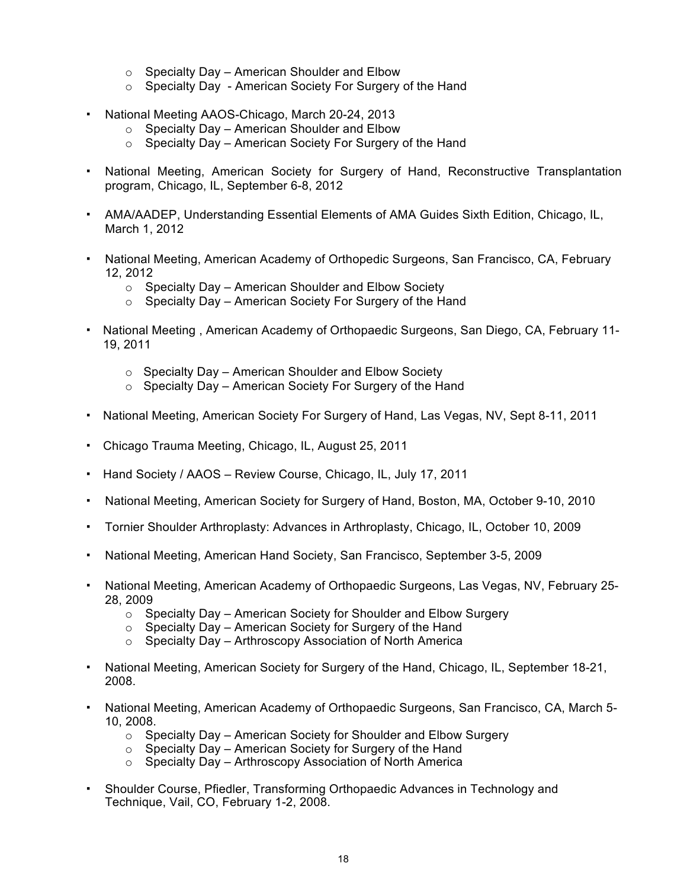- $\circ$  Specialty Day American Shoulder and Elbow
- o Specialty Day American Society For Surgery of the Hand
- National Meeting AAOS-Chicago, March 20-24, 2013
	- o Specialty Day American Shoulder and Elbow
	- o Specialty Day American Society For Surgery of the Hand
- National Meeting, American Society for Surgery of Hand, Reconstructive Transplantation program, Chicago, IL, September 6-8, 2012
- AMA/AADEP, Understanding Essential Elements of AMA Guides Sixth Edition, Chicago, IL, March 1, 2012
- National Meeting, American Academy of Orthopedic Surgeons, San Francisco, CA, February 12, 2012
	- o Specialty Day American Shoulder and Elbow Society
	- o Specialty Day American Society For Surgery of the Hand
- National Meeting , American Academy of Orthopaedic Surgeons, San Diego, CA, February 11- 19, 2011
	- o Specialty Day American Shoulder and Elbow Society
	- o Specialty Day American Society For Surgery of the Hand
- National Meeting, American Society For Surgery of Hand, Las Vegas, NV, Sept 8-11, 2011
- Chicago Trauma Meeting, Chicago, IL, August 25, 2011
- Hand Society / AAOS Review Course, Chicago, IL, July 17, 2011
- National Meeting, American Society for Surgery of Hand, Boston, MA, October 9-10, 2010
- Tornier Shoulder Arthroplasty: Advances in Arthroplasty, Chicago, IL, October 10, 2009
- National Meeting, American Hand Society, San Francisco, September 3-5, 2009
- National Meeting, American Academy of Orthopaedic Surgeons, Las Vegas, NV, February 25- 28, 2009
	- o Specialty Day American Society for Shoulder and Elbow Surgery
	- $\circ$  Specialty Day American Society for Surgery of the Hand
	- $\circ$  Specialty Day Arthroscopy Association of North America
- National Meeting, American Society for Surgery of the Hand, Chicago, IL, September 18-21, 2008.
- National Meeting, American Academy of Orthopaedic Surgeons, San Francisco, CA, March 5- 10, 2008.
	- o Specialty Day American Society for Shoulder and Elbow Surgery
	- $\circ$  Specialty Day American Society for Surgery of the Hand
	- $\circ$  Specialty Day Arthroscopy Association of North America
- Shoulder Course, Pfiedler, Transforming Orthopaedic Advances in Technology and Technique, Vail, CO, February 1-2, 2008.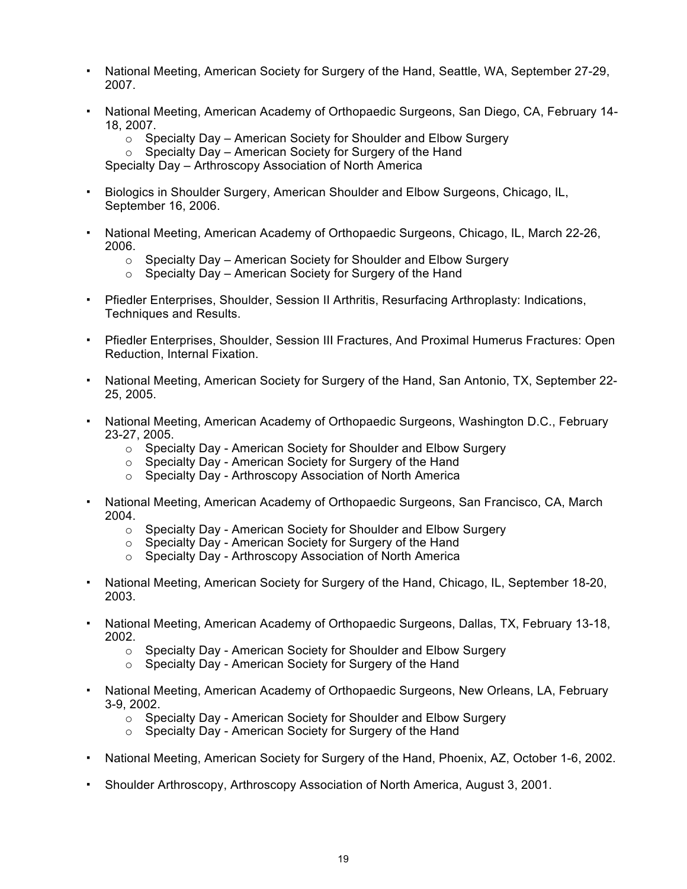- National Meeting, American Society for Surgery of the Hand, Seattle, WA, September 27-29, 2007.
- National Meeting, American Academy of Orthopaedic Surgeons, San Diego, CA, February 14- 18, 2007.
	- $\circ$  Specialty Day American Society for Shoulder and Elbow Surgery
	- $\circ$  Specialty Day American Society for Surgery of the Hand

Specialty Day – Arthroscopy Association of North America

- Biologics in Shoulder Surgery, American Shoulder and Elbow Surgeons, Chicago, IL, September 16, 2006.
- National Meeting, American Academy of Orthopaedic Surgeons, Chicago, IL, March 22-26, 2006.
	- o Specialty Day American Society for Shoulder and Elbow Surgery
	- $\circ$  Specialty Day American Society for Surgery of the Hand
- Pfiedler Enterprises, Shoulder, Session II Arthritis, Resurfacing Arthroplasty: Indications, Techniques and Results.
- Pfiedler Enterprises, Shoulder, Session III Fractures, And Proximal Humerus Fractures: Open Reduction, Internal Fixation.
- National Meeting, American Society for Surgery of the Hand, San Antonio, TX, September 22- 25, 2005.
- National Meeting, American Academy of Orthopaedic Surgeons, Washington D.C., February 23-27, 2005.
	- o Specialty Day American Society for Shoulder and Elbow Surgery
	- o Specialty Day American Society for Surgery of the Hand
	- o Specialty Day Arthroscopy Association of North America
- National Meeting, American Academy of Orthopaedic Surgeons, San Francisco, CA, March 2004.
	- o Specialty Day American Society for Shoulder and Elbow Surgery
	- o Specialty Day American Society for Surgery of the Hand
	- o Specialty Day Arthroscopy Association of North America
- National Meeting, American Society for Surgery of the Hand, Chicago, IL, September 18-20, 2003.
- National Meeting, American Academy of Orthopaedic Surgeons, Dallas, TX, February 13-18, 2002.
	- o Specialty Day American Society for Shoulder and Elbow Surgery
	- o Specialty Day American Society for Surgery of the Hand
- National Meeting, American Academy of Orthopaedic Surgeons, New Orleans, LA, February 3-9, 2002.
	- o Specialty Day American Society for Shoulder and Elbow Surgery
	- o Specialty Day American Society for Surgery of the Hand
- National Meeting, American Society for Surgery of the Hand, Phoenix, AZ, October 1-6, 2002.
- Shoulder Arthroscopy, Arthroscopy Association of North America, August 3, 2001.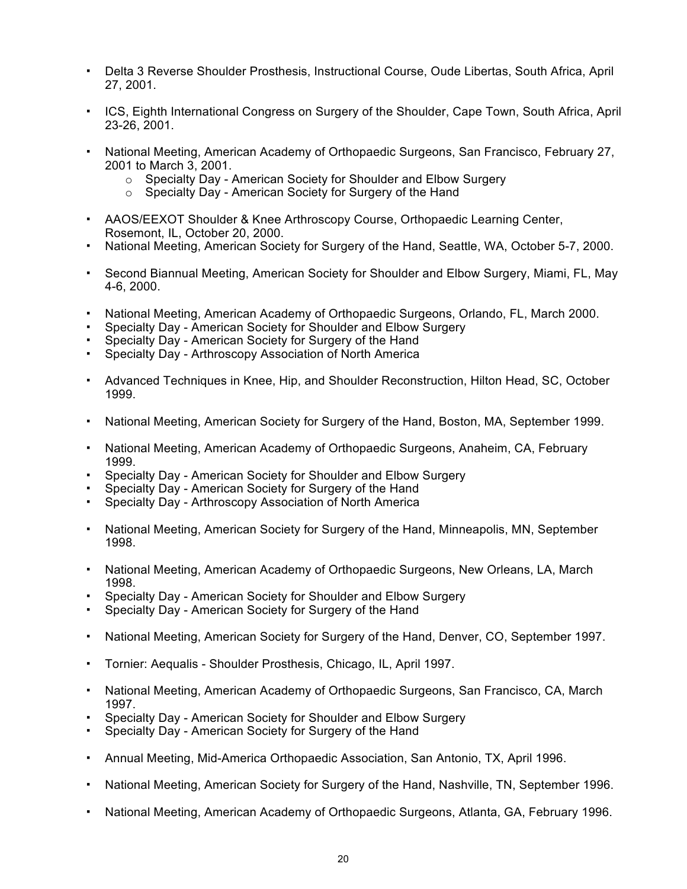- Delta 3 Reverse Shoulder Prosthesis, Instructional Course, Oude Libertas, South Africa, April 27, 2001.
- ICS, Eighth International Congress on Surgery of the Shoulder, Cape Town, South Africa, April 23-26, 2001.
- National Meeting, American Academy of Orthopaedic Surgeons, San Francisco, February 27, 2001 to March 3, 2001.
	- o Specialty Day American Society for Shoulder and Elbow Surgery
	- o Specialty Day American Society for Surgery of the Hand
- AAOS/EEXOT Shoulder & Knee Arthroscopy Course, Orthopaedic Learning Center, Rosemont, IL, October 20, 2000.
- National Meeting, American Society for Surgery of the Hand, Seattle, WA, October 5-7, 2000.
- Second Biannual Meeting, American Society for Shoulder and Elbow Surgery, Miami, FL, May 4-6, 2000.
- National Meeting, American Academy of Orthopaedic Surgeons, Orlando, FL, March 2000.
- Specialty Day American Society for Shoulder and Elbow Surgery
- Specialty Day American Society for Surgery of the Hand
- Specialty Day Arthroscopy Association of North America
- Advanced Techniques in Knee, Hip, and Shoulder Reconstruction, Hilton Head, SC, October 1999.
- National Meeting, American Society for Surgery of the Hand, Boston, MA, September 1999.
- National Meeting, American Academy of Orthopaedic Surgeons, Anaheim, CA, February 1999.
- Specialty Day American Society for Shoulder and Elbow Surgery
- Specialty Day American Society for Surgery of the Hand
- Specialty Day Arthroscopy Association of North America
- National Meeting, American Society for Surgery of the Hand, Minneapolis, MN, September 1998.
- National Meeting, American Academy of Orthopaedic Surgeons, New Orleans, LA, March 1998.
- Specialty Day American Society for Shoulder and Elbow Surgery
- Specialty Day American Society for Surgery of the Hand
- National Meeting, American Society for Surgery of the Hand, Denver, CO, September 1997.
- Tornier: Aequalis Shoulder Prosthesis, Chicago, IL, April 1997.
- National Meeting, American Academy of Orthopaedic Surgeons, San Francisco, CA, March 1997.
- Specialty Day American Society for Shoulder and Elbow Surgery
- Specialty Day American Society for Surgery of the Hand
- Annual Meeting, Mid-America Orthopaedic Association, San Antonio, TX, April 1996.
- National Meeting, American Society for Surgery of the Hand, Nashville, TN, September 1996.
- National Meeting, American Academy of Orthopaedic Surgeons, Atlanta, GA, February 1996.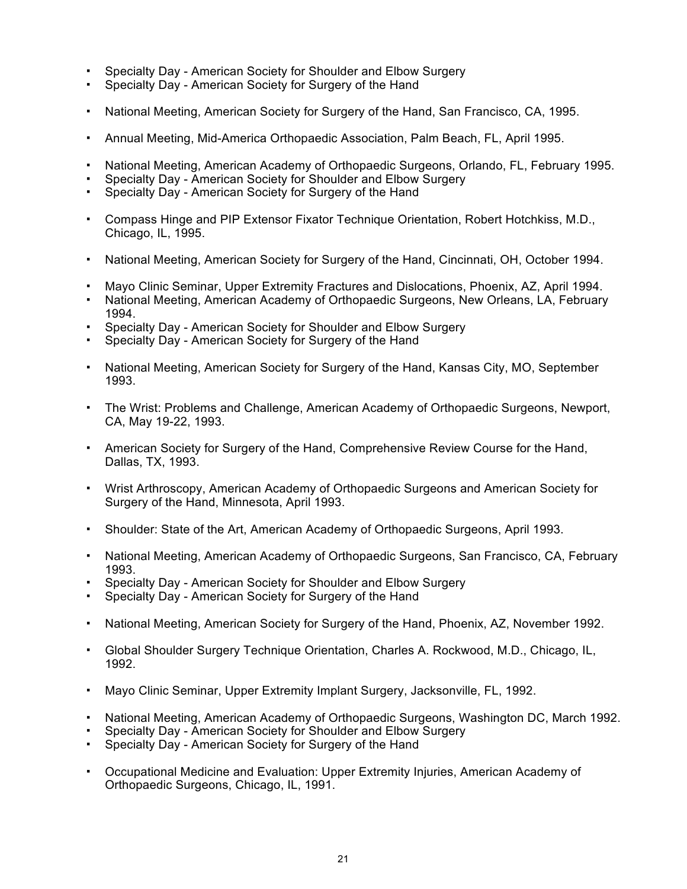- Specialty Day American Society for Shoulder and Elbow Surgery
- Specialty Day American Society for Surgery of the Hand
- National Meeting, American Society for Surgery of the Hand, San Francisco, CA, 1995.
- Annual Meeting, Mid-America Orthopaedic Association, Palm Beach, FL, April 1995.
- National Meeting, American Academy of Orthopaedic Surgeons, Orlando, FL, February 1995.
- Specialty Day American Society for Shoulder and Elbow Surgery
- Specialty Day American Society for Surgery of the Hand
- Compass Hinge and PIP Extensor Fixator Technique Orientation, Robert Hotchkiss, M.D., Chicago, IL, 1995.
- National Meeting, American Society for Surgery of the Hand, Cincinnati, OH, October 1994.
- Mayo Clinic Seminar, Upper Extremity Fractures and Dislocations, Phoenix, AZ, April 1994.
- National Meeting, American Academy of Orthopaedic Surgeons, New Orleans, LA, February 1994.
- Specialty Day American Society for Shoulder and Elbow Surgery
- Specialty Day American Society for Surgery of the Hand
- National Meeting, American Society for Surgery of the Hand, Kansas City, MO, September 1993.
- The Wrist: Problems and Challenge, American Academy of Orthopaedic Surgeons, Newport, CA, May 19-22, 1993.
- **American Society for Surgery of the Hand, Comprehensive Review Course for the Hand,** Dallas, TX, 1993.
- Wrist Arthroscopy, American Academy of Orthopaedic Surgeons and American Society for Surgery of the Hand, Minnesota, April 1993.
- Shoulder: State of the Art, American Academy of Orthopaedic Surgeons, April 1993.
- National Meeting, American Academy of Orthopaedic Surgeons, San Francisco, CA, February 1993.
- Specialty Day American Society for Shoulder and Elbow Surgery
- Specialty Day American Society for Surgery of the Hand
- National Meeting, American Society for Surgery of the Hand, Phoenix, AZ, November 1992.
- Global Shoulder Surgery Technique Orientation, Charles A. Rockwood, M.D., Chicago, IL, 1992.
- Mayo Clinic Seminar, Upper Extremity Implant Surgery, Jacksonville, FL, 1992.
- National Meeting, American Academy of Orthopaedic Surgeons, Washington DC, March 1992.
- Specialty Day American Society for Shoulder and Elbow Surgery
- Specialty Day American Society for Surgery of the Hand
- Occupational Medicine and Evaluation: Upper Extremity Injuries, American Academy of Orthopaedic Surgeons, Chicago, IL, 1991.